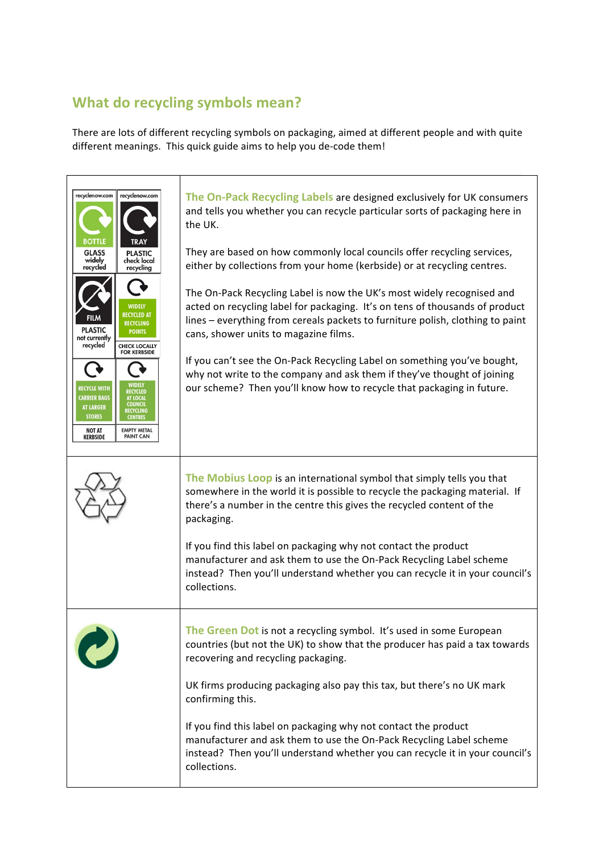## **What do recycling symbols mean?**

There are lots of different recycling symbols on packaging, aimed at different people and with quite different meanings. This quick guide aims to help you de-code them!

| recyclenow.com<br>recyclenow.com<br><b>BOTTLE</b><br><b>TRAY</b>                                                                                                                                                         | The On-Pack Recycling Labels are designed exclusively for UK consumers<br>and tells you whether you can recycle particular sorts of packaging here in<br>the UK.                                                                                                                  |
|--------------------------------------------------------------------------------------------------------------------------------------------------------------------------------------------------------------------------|-----------------------------------------------------------------------------------------------------------------------------------------------------------------------------------------------------------------------------------------------------------------------------------|
| <b>GLASS</b><br><b>PLASTIC</b><br>widely<br>check local<br>recycled<br>recycling                                                                                                                                         | They are based on how commonly local councils offer recycling services,<br>either by collections from your home (kerbside) or at recycling centres.                                                                                                                               |
| <b>WIDELY</b><br><b>RECYCLED AT</b><br><b>RECYCLING</b><br><b>PLASTIC</b><br><b>POINTS</b><br>not currently<br>recycled<br><b>CHECK LOCALLY</b><br><b>FOR KERBSIDE</b>                                                   | The On-Pack Recycling Label is now the UK's most widely recognised and<br>acted on recycling label for packaging. It's on tens of thousands of product<br>lines - everything from cereals packets to furniture polish, clothing to paint<br>cans, shower units to magazine films. |
| <b>RECYCLE WITH</b><br>RECYCLED<br><b>CARRIER BAGS</b><br>AT LOCAL<br><b>COUNCIL</b><br><b>AT LARGER</b><br>RECYCLING<br><b>STORES</b><br><b>CENTRES</b><br>NOT AT<br><b>EMPTY METAL</b><br><b>PAINT CAN</b><br>KERBSIDE | If you can't see the On-Pack Recycling Label on something you've bought,<br>why not write to the company and ask them if they've thought of joining<br>our scheme? Then you'll know how to recycle that packaging in future.                                                      |
|                                                                                                                                                                                                                          | The Mobius Loop is an international symbol that simply tells you that<br>somewhere in the world it is possible to recycle the packaging material. If<br>there's a number in the centre this gives the recycled content of the<br>packaging.                                       |
|                                                                                                                                                                                                                          | If you find this label on packaging why not contact the product<br>manufacturer and ask them to use the On-Pack Recycling Label scheme<br>instead? Then you'll understand whether you can recycle it in your council's<br>collections.                                            |
|                                                                                                                                                                                                                          | The Green Dot is not a recycling symbol. It's used in some European<br>countries (but not the UK) to show that the producer has paid a tax towards<br>recovering and recycling packaging.                                                                                         |
|                                                                                                                                                                                                                          | UK firms producing packaging also pay this tax, but there's no UK mark<br>confirming this.                                                                                                                                                                                        |
|                                                                                                                                                                                                                          | If you find this label on packaging why not contact the product<br>manufacturer and ask them to use the On-Pack Recycling Label scheme<br>instead? Then you'll understand whether you can recycle it in your council's<br>collections.                                            |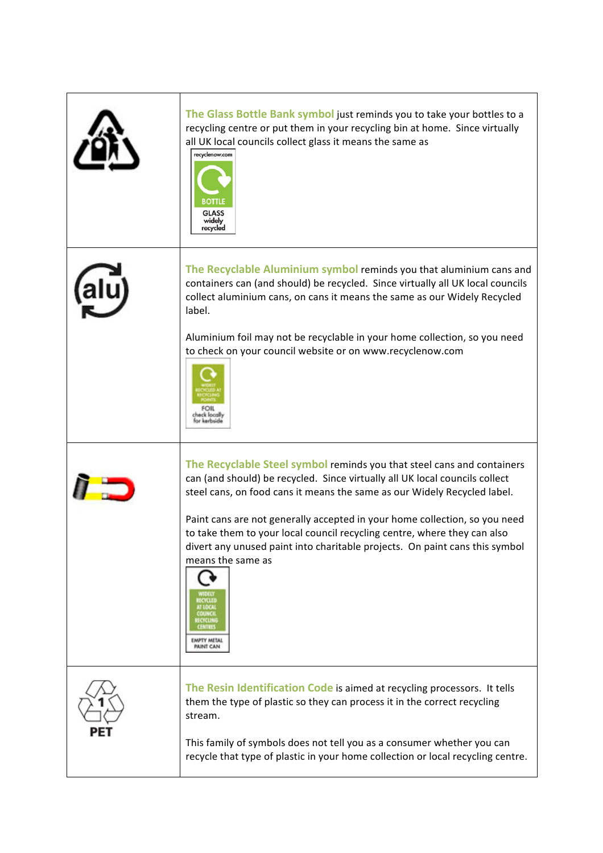| The Glass Bottle Bank symbol just reminds you to take your bottles to a<br>recycling centre or put them in your recycling bin at home. Since virtually<br>all UK local councils collect glass it means the same as<br>recyclenow.com<br><b>BOTTLE</b><br><b>GLASS</b><br>widely<br>recycled                                                                                                                                                                                                                                        |
|------------------------------------------------------------------------------------------------------------------------------------------------------------------------------------------------------------------------------------------------------------------------------------------------------------------------------------------------------------------------------------------------------------------------------------------------------------------------------------------------------------------------------------|
| The Recyclable Aluminium symbol reminds you that aluminium cans and<br>containers can (and should) be recycled. Since virtually all UK local councils<br>collect aluminium cans, on cans it means the same as our Widely Recycled<br>label.<br>Aluminium foil may not be recyclable in your home collection, so you need<br>to check on your council website or on www.recyclenow.com                                                                                                                                              |
| The Recyclable Steel symbol reminds you that steel cans and containers<br>can (and should) be recycled. Since virtually all UK local councils collect<br>steel cans, on food cans it means the same as our Widely Recycled label.<br>Paint cans are not generally accepted in your home collection, so you need<br>to take them to your local council recycling centre, where they can also<br>divert any unused paint into charitable projects. On paint cans this symbol<br>means the same as<br><b>IMPTY METAL</b><br>PAINT CAN |
| The Resin Identification Code is aimed at recycling processors. It tells<br>them the type of plastic so they can process it in the correct recycling<br>stream.<br>This family of symbols does not tell you as a consumer whether you can<br>recycle that type of plastic in your home collection or local recycling centre.                                                                                                                                                                                                       |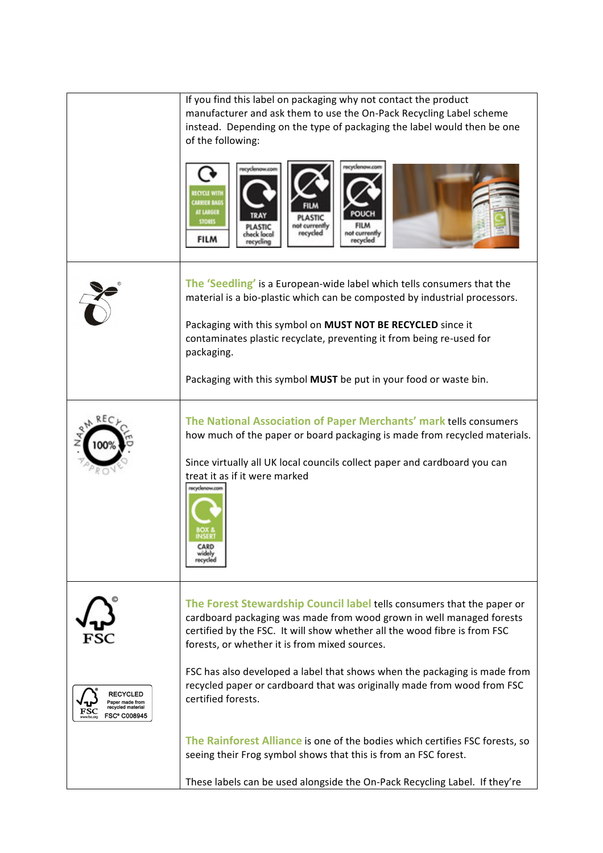|                                                                               | If you find this label on packaging why not contact the product<br>manufacturer and ask them to use the On-Pack Recycling Label scheme<br>instead. Depending on the type of packaging the label would then be one<br>of the following:<br>recycled<br>theck local<br><b>FILM</b><br>recycled                                                                                                                                                               |
|-------------------------------------------------------------------------------|------------------------------------------------------------------------------------------------------------------------------------------------------------------------------------------------------------------------------------------------------------------------------------------------------------------------------------------------------------------------------------------------------------------------------------------------------------|
|                                                                               | The 'Seedling' is a European-wide label which tells consumers that the<br>material is a bio-plastic which can be composted by industrial processors.<br>Packaging with this symbol on MUST NOT BE RECYCLED since it<br>contaminates plastic recyclate, preventing it from being re-used for<br>packaging.<br>Packaging with this symbol MUST be put in your food or waste bin.                                                                             |
|                                                                               | The National Association of Paper Merchants' mark tells consumers<br>how much of the paper or board packaging is made from recycled materials.<br>Since virtually all UK local councils collect paper and cardboard you can<br>treat it as if it were marked<br>evelonow.com<br>CARD<br>recycle                                                                                                                                                            |
| <b>RECYCLED</b><br>aper made from<br>recycled material<br><b>FSC® C008945</b> | The Forest Stewardship Council label tells consumers that the paper or<br>cardboard packaging was made from wood grown in well managed forests<br>certified by the FSC. It will show whether all the wood fibre is from FSC<br>forests, or whether it is from mixed sources.<br>FSC has also developed a label that shows when the packaging is made from<br>recycled paper or cardboard that was originally made from wood from FSC<br>certified forests. |
|                                                                               | The Rainforest Alliance is one of the bodies which certifies FSC forests, so<br>seeing their Frog symbol shows that this is from an FSC forest.<br>These labels can be used alongside the On-Pack Recycling Label. If they're                                                                                                                                                                                                                              |